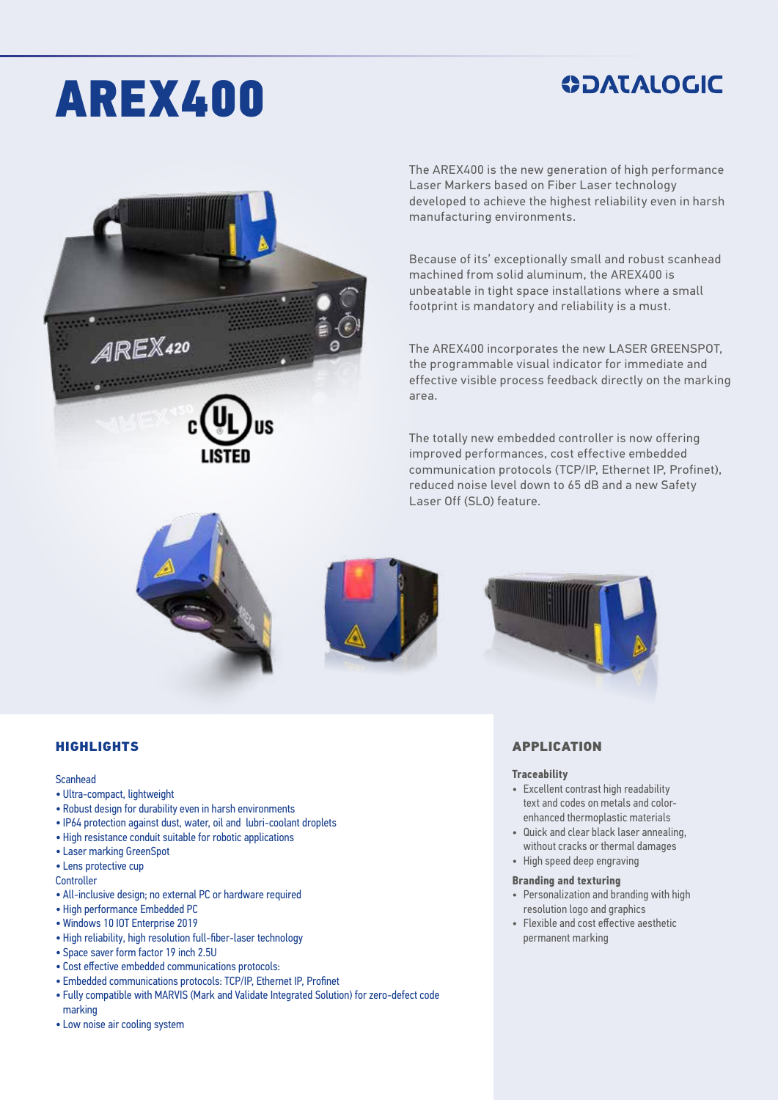# AREX400

### **ODATALOGIC**



The AREX400 is the new generation of high performance Laser Markers based on Fiber Laser technology developed to achieve the highest reliability even in harsh manufacturing environments.

Because of its' exceptionally small and robust scanhead machined from solid aluminum, the AREX400 is unbeatable in tight space installations where a small footprint is mandatory and reliability is a must.

The AREX400 incorporates the new LASER GREENSPOT, the programmable visual indicator for immediate and effective visible process feedback directly on the marking area.

The totally new embedded controller is now offering improved performances, cost effective embedded communication protocols (TCP/IP, Ethernet IP, Profinet), reduced noise level down to 65 dB and a new Safety Laser Off (SLO) feature.







#### HIGHLIGHTS

#### Scanhead

- Ultra-compact, lightweight
- Robust design for durability even in harsh environments
- IP64 protection against dust, water, oil and lubri-coolant droplets
- High resistance conduit suitable for robotic applications
- Laser marking GreenSpot
- Lens protective cup

**Controller** 

- All-inclusive design; no external PC or hardware required
- High performance Embedded PC
- Windows 10 IOT Enterprise 2019
- High reliability, high resolution full-fiber-laser technology
- Space saver form factor 19 inch 2.5U
- Cost effective embedded communications protocols:
- Embedded communications protocols: TCP/IP, Ethernet IP, Profinet
- Fully compatible with MARVIS (Mark and Validate Integrated Solution) for zero-defect code
- marking
- Low noise air cooling system

#### APPLICATION

#### **Traceability**

- Excellent contrast high readability text and codes on metals and colorenhanced thermoplastic materials
- Quick and clear black laser annealing, without cracks or thermal damages
- High speed deep engraving

#### **Branding and texturing**

- Personalization and branding with high resolution logo and graphics
- Flexible and cost effective aesthetic permanent marking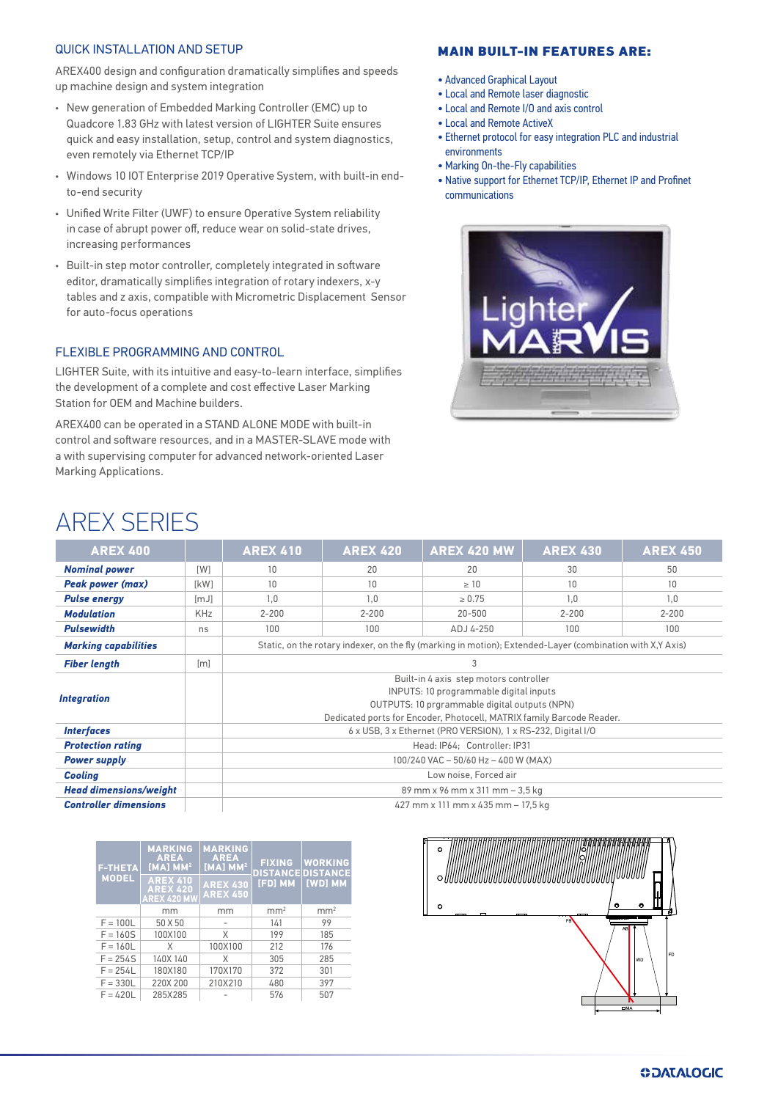### QUICK INSTALLATION AND SETUP

AREX400 design and configuration dramatically simplifies and speeds up machine design and system integration

- New generation of Embedded Marking Controller (EMC) up to Quadcore 1.83 GHz with latest version of LIGHTER Suite ensures quick and easy installation, setup, control and system diagnostics, even remotely via Ethernet TCP/IP
- Windows 10 IOT Enterprise 2019 Operative System, with built-in endto-end security
- Unified Write Filter (UWF) to ensure Operative System reliability in case of abrupt power off, reduce wear on solid-state drives, increasing performances
- Built-in step motor controller, completely integrated in software editor, dramatically simplifies integration of rotary indexers, x-y tables and z axis, compatible with Micrometric Displacement Sensor for auto-focus operations

#### FLEXIBLE PROGRAMMING AND CONTROL

LIGHTER Suite, with its intuitive and easy-to-learn interface, simplifies the development of a complete and cost effective Laser Marking Station for OEM and Machine builders.

AREX400 can be operated in a STAND ALONE MODE with built-in control and software resources, and in a MASTER-SLAVE mode with a with supervising computer for advanced network-oriented Laser Marking Applications.

### MAIN BUILT-IN FEATURES ARE:

- Advanced Graphical Layout
- Local and Remote laser diagnostic
- Local and Remote I/O and axis control
- Local and Remote ActiveX
- Ethernet protocol for easy integration PLC and industrial environments
- Marking On-the-Fly capabilities
- Native support for Ethernet TCP/IP, Ethernet IP and Profinet communications



### AREX SERIES

| <b>AREX 400</b>               |            | <b>AREX 410</b>                                                                                                                                                                                            | <b>AREX 420</b> | <b>AREX 420 MW</b> | <b>AREX 430</b> | <b>AREX 450</b> |
|-------------------------------|------------|------------------------------------------------------------------------------------------------------------------------------------------------------------------------------------------------------------|-----------------|--------------------|-----------------|-----------------|
| <b>Nominal power</b>          | [W]        | 10                                                                                                                                                                                                         | 20              | 20                 | 30              | 50              |
| <b>Peak power (max)</b>       | [kW]       | 10                                                                                                                                                                                                         | 10              | $\geq 10$          | 10              | 10              |
| <b>Pulse energy</b>           | [mJ]       | 1,0                                                                                                                                                                                                        | 1.0             | $\ge 0.75$         | 1.0             | 1.0             |
| <b>Modulation</b>             | <b>KHz</b> | $2 - 200$                                                                                                                                                                                                  | $2 - 200$       | 20-500             | $2 - 200$       | $2 - 200$       |
| <b>Pulsewidth</b>             | ns         | 100                                                                                                                                                                                                        | 100             | ADJ 4-250          | 100             | 100             |
| <b>Marking capabilities</b>   |            | Static, on the rotary indexer, on the fly (marking in motion); Extended-Layer (combination with X,Y Axis)                                                                                                  |                 |                    |                 |                 |
| <b>Fiber length</b>           | [m]        | 3                                                                                                                                                                                                          |                 |                    |                 |                 |
| <b>Integration</b>            |            | Built-in 4 axis step motors controller<br>INPUTS: 10 programmable digital inputs<br>OUTPUTS: 10 prgrammable digital outputs (NPN)<br>Dedicated ports for Encoder, Photocell, MATRIX family Barcode Reader. |                 |                    |                 |                 |
| <b>Interfaces</b>             |            | 6 x USB, 3 x Ethernet (PRO VERSION), 1 x RS-232, Digital I/O                                                                                                                                               |                 |                    |                 |                 |
| <b>Protection rating</b>      |            | Head: IP64: Controller: IP31                                                                                                                                                                               |                 |                    |                 |                 |
| <b>Power supply</b>           |            | 100/240 VAC - 50/60 Hz - 400 W (MAX)                                                                                                                                                                       |                 |                    |                 |                 |
| <b>Cooling</b>                |            | Low noise, Forced air                                                                                                                                                                                      |                 |                    |                 |                 |
| <b>Head dimensions/weight</b> |            | 89 mm x 96 mm x 311 mm - 3,5 kg                                                                                                                                                                            |                 |                    |                 |                 |
| <b>Controller dimensions</b>  |            | 427 mm x 111 mm x 435 mm - 17,5 kg                                                                                                                                                                         |                 |                    |                 |                 |

| <b>F-THETA</b><br><b>MODEL</b> | <b>MARKING</b><br><b>AREA</b><br>$[MA]$ MM <sup>2</sup><br><b>AREX 410</b><br><b>AREX 420</b><br><b>AREX 420 MW</b> | <b>MARKING</b><br><b>AREA</b><br>$[MA]$ MM <sup>2</sup><br><b>AREX 430</b><br><b>AREX 450</b> | <b>FIXING</b><br>[FD] MM | <b>WORKING</b><br><b>DISTANCE DISTANCE</b><br>[WD] MM |
|--------------------------------|---------------------------------------------------------------------------------------------------------------------|-----------------------------------------------------------------------------------------------|--------------------------|-------------------------------------------------------|
|                                | mm                                                                                                                  | mm                                                                                            | mm <sup>2</sup>          | mm <sup>2</sup>                                       |
| $F = 100L$                     | 50 X 50                                                                                                             |                                                                                               | 141                      | 99                                                    |
| $F = 160S$                     | 100X100                                                                                                             | X                                                                                             | 199                      | 185                                                   |
| $F = 160L$                     | X                                                                                                                   | 100X100                                                                                       | 212                      | 176                                                   |
| $F = 254S$                     | 140X 140                                                                                                            | X                                                                                             | 305                      | 285                                                   |
| $F = 254L$                     | 180X180                                                                                                             | 170X170                                                                                       | 372                      | 301                                                   |
| $F = 330L$                     | 220X 200                                                                                                            | 210X210                                                                                       | 480                      | 397                                                   |
| $F = 420L$                     | 285X285                                                                                                             |                                                                                               | 576                      | 507                                                   |

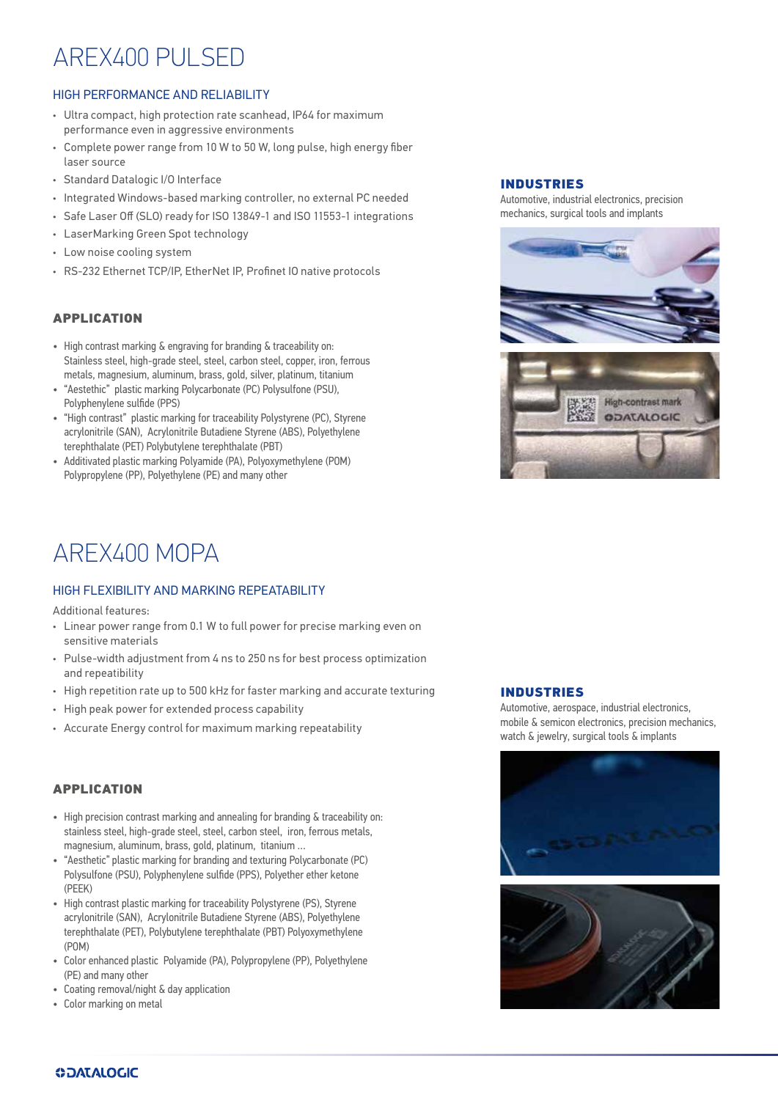# AREX400 PULSED

### HIGH PERFORMANCE AND RELIABILITY

- Ultra compact, high protection rate scanhead, IP64 for maximum performance even in aggressive environments
- Complete power range from 10 W to 50 W, long pulse, high energy fiber laser source
- Standard Datalogic I/O Interface
- Integrated Windows-based marking controller, no external PC needed
- Safe Laser Off (SLO) ready for ISO 13849-1 and ISO 11553-1 integrations
- LaserMarking Green Spot technology
- Low noise cooling system
- RS-232 Ethernet TCP/IP, EtherNet IP, Profinet IO native protocols

#### APPLICATION

- High contrast marking & engraving for branding & traceability on: Stainless steel, high-grade steel, steel, carbon steel, copper, iron, ferrous metals, magnesium, aluminum, brass, gold, silver, platinum, titanium
- "Aestethic" plastic marking Polycarbonate (PC) Polysulfone (PSU), Polyphenylene sulfide (PPS)
- "High contrast" plastic marking for traceability Polystyrene (PC), Styrene acrylonitrile (SAN), Acrylonitrile Butadiene Styrene (ABS), Polyethylene terephthalate (PET) Polybutylene terephthalate (PBT)
- Additivated plastic marking Polyamide (PA), Polyoxymethylene (POM) Polypropylene (PP), Polyethylene (PE) and many other

### AREX400 MOPA

#### HIGH FLEXIBILITY AND MARKING REPEATABILITY

Additional features:

- Linear power range from 0.1 W to full power for precise marking even on sensitive materials
- Pulse-width adjustment from 4 ns to 250 ns for best process optimization and repeatibility
- High repetition rate up to 500 kHz for faster marking and accurate texturing
- High peak power for extended process capability
- Accurate Energy control for maximum marking repeatability

#### APPLICATION

- High precision contrast marking and annealing for branding & traceability on: stainless steel, high-grade steel, steel, carbon steel, iron, ferrous metals, magnesium, aluminum, brass, gold, platinum, titanium …
- "Aesthetic" plastic marking for branding and texturing Polycarbonate (PC) Polysulfone (PSU), Polyphenylene sulfide (PPS), Polyether ether ketone (PEEK)
- High contrast plastic marking for traceability Polystyrene (PS), Styrene acrylonitrile (SAN), Acrylonitrile Butadiene Styrene (ABS), Polyethylene terephthalate (PET), Polybutylene terephthalate (PBT) Polyoxymethylene (POM)
- Color enhanced plastic Polyamide (PA), Polypropylene (PP), Polyethylene (PE) and many other
- Coating removal/night & day application
- Color marking on metal

#### INDUSTRIES

Automotive, industrial electronics, precision mechanics, surgical tools and implants





#### INDUSTRIES

Automotive, aerospace, industrial electronics, mobile & semicon electronics, precision mechanics, watch & jewelry, surgical tools & implants





#### **ODATALOGIC**